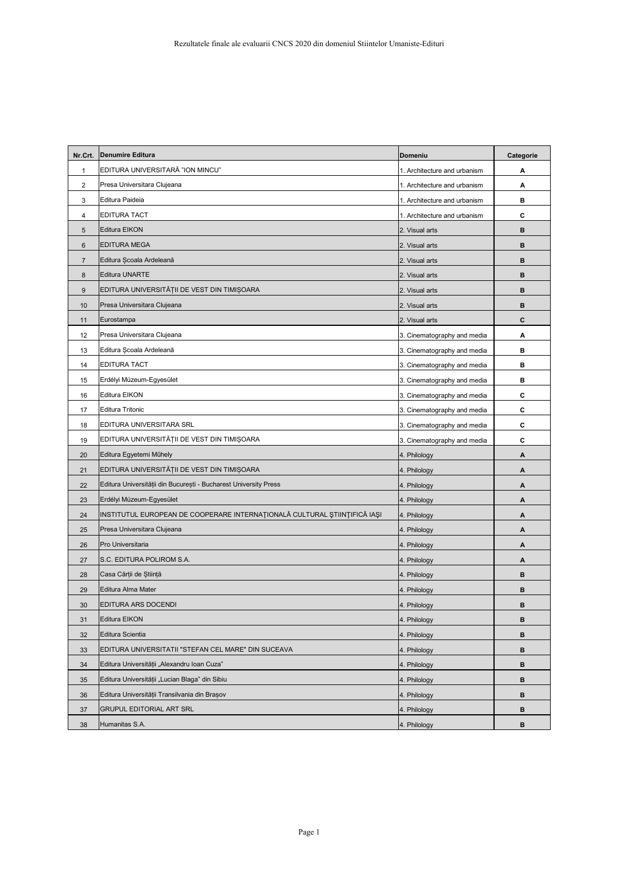| Nr.Crt.        | <b>Denumire Editura</b>                                                   | <b>Domeniu</b>               | Categorie |
|----------------|---------------------------------------------------------------------------|------------------------------|-----------|
| $\mathbf 1$    | EDITURA UNIVERSITARĂ "ION MINCU"                                          | 1. Architecture and urbanism | Α         |
| $\overline{2}$ | Presa Universitara Clujeana                                               | 1. Architecture and urbanism | А         |
| 3              | Editura Paideia                                                           | 1. Architecture and urbanism | в         |
| 4              | EDITURA TACT                                                              | 1. Architecture and urbanism | С         |
| 5              | Editura EIKON                                                             | 2. Visual arts               | B         |
| 6              | <b>EDITURA MEGA</b>                                                       | 2. Visual arts               | B         |
| $\overline{7}$ | Editura Școala Ardeleană                                                  | 2. Visual arts               | B         |
| $\bf 8$        | Editura UNARTE                                                            | 2. Visual arts               | B         |
| 9              | EDITURA UNIVERSITĂȚII DE VEST DIN TIMIȘOARA                               | 2. Visual arts               | в         |
| 10             | Presa Universitara Clujeana                                               | 2. Visual arts               | B         |
| 11             | Eurostampa                                                                | 2. Visual arts               | C         |
| 12             | Presa Universitara Clujeana                                               | 3. Cinematography and media  | А         |
| 13             | Editura Școala Ardeleană                                                  | 3. Cinematography and media  | в         |
| 14             | EDITURA TACT                                                              | 3. Cinematography and media  | в         |
| 15             | Erdélyi Múzeum-Egyesület                                                  | 3. Cinematography and media  | в         |
| 16             | Editura EIKON                                                             | 3. Cinematography and media  | С         |
| 17             | <b>Editura Tritonic</b>                                                   | 3. Cinematography and media  | C         |
| 18             | EDITURA UNIVERSITARA SRL                                                  | 3. Cinematography and media  | С         |
| 19             | EDITURA UNIVERSITĂȚII DE VEST DIN TIMIȘOARA                               | 3. Cinematography and media  | С         |
| 20             | Editura Egyetemi Műhely                                                   | 4. Philology                 | А         |
| 21             | EDITURA UNIVERSITĂȚII DE VEST DIN TIMIȘOARA                               | 4. Philology                 | A         |
| 22             | Editura Universității din București - Bucharest University Press          | 4. Philology                 | Α         |
| 23             | Erdélyi Múzeum-Egyesület                                                  | 4. Philology                 | A         |
| 24             | INSTITUTUL EUROPEAN DE COOPERARE INTERNAȚIONALĂ CULTURAL ȘTIINȚIFICĂ IAȘI | 4. Philology                 | A         |
| 25             | Presa Universitara Clujeana                                               | 4. Philology                 | А         |
| 26             | Pro Universitaria                                                         | 4. Philology                 | A         |
| 27             | S.C. EDITURA POLIROM S.A.                                                 | 4. Philology                 | А         |
| 28             | Casa Cărții de Știință                                                    | 4. Philology                 | B         |
| 29             | Editura Alma Mater                                                        | 4. Philology                 | в         |
| 30             | EDITURA ARS DOCENDI                                                       | 4. Philology                 | в         |
| 31             | Editura EIKON                                                             | 4. Philology                 | в         |
| 32             | Editura Scientia                                                          | 4. Philology                 | в         |
| 33             | EDITURA UNIVERSITATII "STEFAN CEL MARE" DIN SUCEAVA                       | 4. Philology                 | в         |
| 34             | Editura Universității "Alexandru Ioan Cuza"                               | 4. Philology                 | в         |
| 35             | Editura Universitătii "Lucian Blaga" din Sibiu                            | 4. Philology                 | в         |
| 36             | Editura Universității Transilvania din Brașov                             | 4. Philology                 | в         |
| 37             | <b>GRUPUL EDITORIAL ART SRL</b>                                           | 4. Philology                 | в         |
| 38             | Humanitas S.A.                                                            | 4. Philology                 | в         |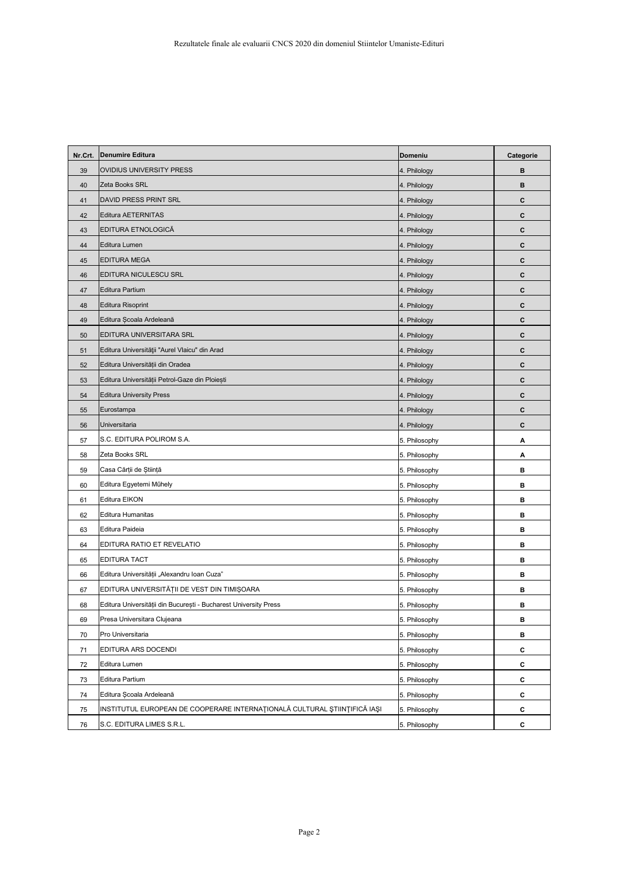| Nr.Crt. | <b>Denumire Editura</b>                                                   | Domeniu       | Categorie |
|---------|---------------------------------------------------------------------------|---------------|-----------|
| 39      | OVIDIUS UNIVERSITY PRESS                                                  | 4. Philology  | B         |
| 40      | Zeta Books SRL                                                            | 4. Philology  | B         |
| 41      | DAVID PRESS PRINT SRL                                                     | 4. Philology  | C         |
| 42      | Editura AETERNITAS                                                        | 4. Philology  | C         |
| 43      | EDITURA ETNOLOGICĂ                                                        | 4. Philology  | C         |
| 44      | Editura Lumen                                                             | 4. Philology  | C         |
| 45      | EDITURA MEGA                                                              | 4. Philology  | C         |
| 46      | EDITURA NICULESCU SRL                                                     | 4. Philology  | C         |
| 47      | <b>Editura Partium</b>                                                    | 4. Philology  | C         |
| 48      | <b>Editura Risoprint</b>                                                  | 4. Philology  | C         |
| 49      | Editura Școala Ardeleană                                                  | 4. Philology  | C         |
| 50      | EDITURA UNIVERSITARA SRL                                                  | 4. Philology  | C         |
| 51      | Editura Universității "Aurel Vlaicu" din Arad                             | 4. Philology  | C         |
| 52      | Editura Universității din Oradea                                          | 4. Philology  | C         |
| 53      | Editura Universității Petrol-Gaze din Ploiești                            | 4. Philology  | C         |
| 54      | <b>Editura University Press</b>                                           | 4. Philology  | C         |
| 55      | Eurostampa                                                                | 4. Philology  | C         |
| 56      | Universitaria                                                             | 4. Philology  | C         |
| 57      | S.C. EDITURA POLIROM S.A.                                                 | 5. Philosophy | Α         |
| 58      | Zeta Books SRL                                                            | 5. Philosophy | Α         |
| 59      | Casa Cărții de Știință                                                    | 5. Philosophy | В         |
| 60      | Editura Egyetemi Műhely                                                   | 5. Philosophy | B         |
| 61      | Editura EIKON                                                             | 5. Philosophy | в         |
| 62      | Editura Humanitas                                                         | 5. Philosophy | В         |
| 63      | Editura Paideia                                                           | 5. Philosophy | B         |
| 64      | EDITURA RATIO ET REVELATIO                                                | 5. Philosophy | В         |
| 65      | EDITURA TACT                                                              | 5. Philosophy | B         |
| 66      | Editura Universității "Alexandru Ioan Cuza"                               | 5. Philosophy | в         |
| 67      | EDITURA UNIVERSITĂȚII DE VEST DIN TIMIȘOARA                               | 5. Philosophy | в         |
| 68      | Editura Universității din București - Bucharest University Press          | 5. Philosophy | B         |
| 69      | Presa Universitara Clujeana                                               | 5. Philosophy | В         |
| 70      | Pro Universitaria                                                         | 5. Philosophy | В         |
| 71      | EDITURA ARS DOCENDI                                                       | 5. Philosophy | C         |
| 72      | Editura Lumen                                                             | 5. Philosophy | C         |
| 73      | Editura Partium                                                           | 5. Philosophy | C         |
| 74      | Editura Școala Ardeleană                                                  | 5. Philosophy | C         |
| 75      | INSTITUTUL EUROPEAN DE COOPERARE INTERNAȚIONALĂ CULTURAL ȘTIINȚIFICĂ IAȘI | 5. Philosophy | C         |
| 76      | S.C. EDITURA LIMES S.R.L.                                                 | 5. Philosophy | С         |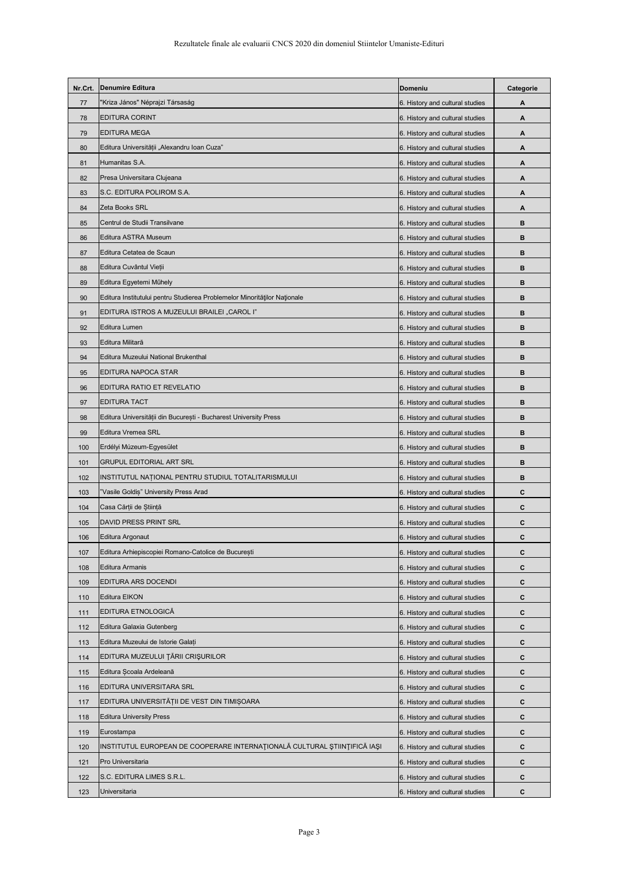| Nr.Crt. | <b>Denumire Editura</b>                                                   | <b>Domeniu</b>                  | Categorie |
|---------|---------------------------------------------------------------------------|---------------------------------|-----------|
| 77      | 'Kriza János" Néprajzi Társaság                                           | 6. History and cultural studies | Α         |
| 78      | EDITURA CORINT                                                            | 6. History and cultural studies | Α         |
| 79      | <b>EDITURA MEGA</b>                                                       | 6. History and cultural studies | А         |
| 80      | Editura Universității "Alexandru Ioan Cuza"                               | 6. History and cultural studies | А         |
| 81      | Humanitas S.A.                                                            | 6. History and cultural studies | Α         |
| 82      | Presa Universitara Clujeana                                               | 6. History and cultural studies | А         |
| 83      | S.C. EDITURA POLIROM S.A.                                                 | 6. History and cultural studies | A         |
| 84      | Zeta Books SRL                                                            | 6. History and cultural studies | А         |
| 85      | Centrul de Studii Transilvane                                             | 6. History and cultural studies | в         |
| 86      | Editura ASTRA Museum                                                      | 6. History and cultural studies | в         |
| 87      | Editura Cetatea de Scaun                                                  | 6. History and cultural studies | в         |
| 88      | Editura Cuvântul Vieții                                                   | 6. History and cultural studies | в         |
| 89      | Editura Egyetemi Műhely                                                   | 6. History and cultural studies | в         |
| 90      | Editura Institutului pentru Studierea Problemelor Minorităților Naționale | 6. History and cultural studies | в         |
| 91      | EDITURA ISTROS A MUZEULUI BRAILEI "CAROL I"                               | 6. History and cultural studies | в         |
| 92      | Editura Lumen                                                             | 6. History and cultural studies | в         |
| 93      | Editura Militară                                                          | 6. History and cultural studies | в         |
| 94      | Editura Muzeului National Brukenthal                                      | 6. History and cultural studies | в         |
| 95      | EDITURA NAPOCA STAR                                                       | 6. History and cultural studies | в         |
| 96      | EDITURA RATIO ET REVELATIO                                                | 6. History and cultural studies | в         |
| 97      | EDITURA TACT                                                              | 6. History and cultural studies | B         |
| 98      | Editura Universității din București - Bucharest University Press          | 6. History and cultural studies | в         |
| 99      | Editura Vremea SRL                                                        | 6. History and cultural studies | в         |
| 100     | Erdélyi Múzeum-Egyesület                                                  | 6. History and cultural studies | в         |
| 101     | <b>GRUPUL EDITORIAL ART SRL</b>                                           | 6. History and cultural studies | в         |
| 102     | INSTITUTUL NAȚIONAL PENTRU STUDIUL TOTALITARISMULUI                       | 6. History and cultural studies | в         |
| 103     | "Vasile Goldiș" University Press Arad                                     | 6. History and cultural studies | С         |
| 104     | Casa Cărții de Știință                                                    | 6. History and cultural studies | C         |
| 105     | DAVID PRESS PRINT SRL                                                     | 6. History and cultural studies | C         |
| 106     | Editura Argonaut                                                          | 6. History and cultural studies | C         |
| 107     | Editura Arhiepiscopiei Romano-Catolice de București                       | 6. History and cultural studies | C         |
| 108     | Editura Armanis                                                           | 6. History and cultural studies | С         |
| 109     | EDITURA ARS DOCENDI                                                       | 6. History and cultural studies | C         |
| 110     | Editura EIKON                                                             | 6. History and cultural studies | C         |
| 111     | EDITURA ETNOLOGICĂ                                                        | 6. History and cultural studies | C         |
| 112     | Editura Galaxia Gutenberg                                                 | 6. History and cultural studies | C         |
| 113     | Editura Muzeului de Istorie Galați                                        | 6. History and cultural studies | С         |
| 114     | EDITURA MUZEULUI ȚĂRII CRIȘURILOR                                         | 6. History and cultural studies | C         |
| 115     | Editura Școala Ardeleană                                                  | 6. History and cultural studies | C         |
| 116     | EDITURA UNIVERSITARA SRL                                                  | 6. History and cultural studies | C         |
| 117     | EDITURA UNIVERSITĀȚII DE VEST DIN TIMIȘOARA                               | 6. History and cultural studies | C         |
| 118     | <b>Editura University Press</b>                                           | 6. History and cultural studies | С         |
| 119     | Eurostampa                                                                | 6. History and cultural studies | C         |
| 120     | INSTITUTUL EUROPEAN DE COOPERARE INTERNAȚIONALĂ CULTURAL ȘTIINȚIFICĂ IAȘI | 6. History and cultural studies | C         |
| 121     | Pro Universitaria                                                         | 6. History and cultural studies | C         |
| 122     | S.C. EDITURA LIMES S.R.L.                                                 | 6. History and cultural studies | C         |
| 123     | Universitaria                                                             | 6. History and cultural studies | С         |